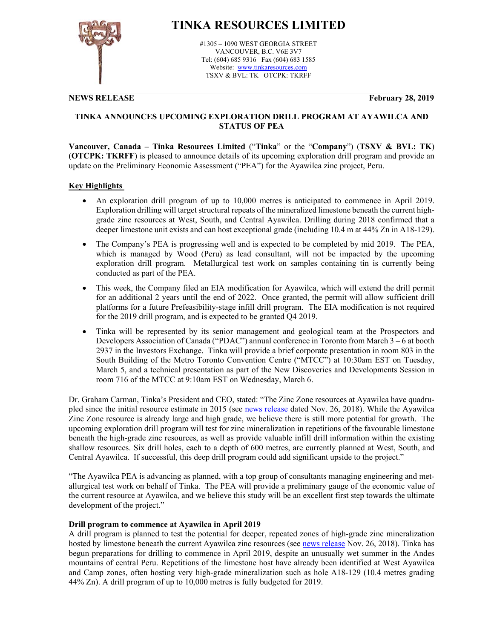

# **TINKA RESOURCES LIMITED**

#1305 – 1090 WEST GEORGIA STREET VANCOUVER, B.C. V6E 3V7 Tel: (604) 685 9316 Fax (604) 683 1585 Website: www.tinkaresources.com TSXV & BVL: TK OTCPK: TKRFF

**NEWS RELEASE February 28, 2019** 

### **TINKA ANNOUNCES UPCOMING EXPLORATION DRILL PROGRAM AT AYAWILCA AND STATUS OF PEA**

**Vancouver, Canada – Tinka Resources Limited** ("**Tinka**" or the "**Company**") (**TSXV & BVL: TK**) (**OTCPK: TKRFF**) is pleased to announce details of its upcoming exploration drill program and provide an update on the Preliminary Economic Assessment ("PEA") for the Ayawilca zinc project, Peru.

#### **Key Highlights**

- An exploration drill program of up to 10,000 metres is anticipated to commence in April 2019. Exploration drilling will target structural repeats of the mineralized limestone beneath the current highgrade zinc resources at West, South, and Central Ayawilca. Drilling during 2018 confirmed that a deeper limestone unit exists and can host exceptional grade (including 10.4 m at 44% Zn in A18-129).
- The Company's PEA is progressing well and is expected to be completed by mid 2019. The PEA, which is managed by Wood (Peru) as lead consultant, will not be impacted by the upcoming exploration drill program. Metallurgical test work on samples containing tin is currently being conducted as part of the PEA.
- This week, the Company filed an EIA modification for Ayawilca, which will extend the drill permit for an additional 2 years until the end of 2022. Once granted, the permit will allow sufficient drill platforms for a future Prefeasibility-stage infill drill program. The EIA modification is not required for the 2019 drill program, and is expected to be granted Q4 2019.
- Tinka will be represented by its senior management and geological team at the Prospectors and Developers Association of Canada ("PDAC") annual conference in Toronto from March 3 – 6 at booth 2937 in the Investors Exchange. Tinka will provide a brief corporate presentation in room 803 in the South Building of the Metro Toronto Convention Centre ("MTCC") at 10:30am EST on Tuesday, March 5, and a technical presentation as part of the New Discoveries and Developments Session in room 716 of the MTCC at 9:10am EST on Wednesday, March 6.

Dr. Graham Carman, Tinka's President and CEO, stated: "The Zinc Zone resources at Ayawilca have quadrupled since the initial resource estimate in 2015 (see news release dated Nov. 26, 2018). While the Ayawilca Zinc Zone resource is already large and high grade, we believe there is still more potential for growth. The upcoming exploration drill program will test for zinc mineralization in repetitions of the favourable limestone beneath the high-grade zinc resources, as well as provide valuable infill drill information within the existing shallow resources. Six drill holes, each to a depth of 600 metres, are currently planned at West, South, and Central Ayawilca. If successful, this deep drill program could add significant upside to the project."

"The Ayawilca PEA is advancing as planned, with a top group of consultants managing engineering and metallurgical test work on behalf of Tinka. The PEA will provide a preliminary gauge of the economic value of the current resource at Ayawilca, and we believe this study will be an excellent first step towards the ultimate development of the project."

#### **Drill program to commence at Ayawilca in April 2019**

A drill program is planned to test the potential for deeper, repeated zones of high-grade zinc mineralization hosted by limestone beneath the current Ayawilca zinc resources (see news release Nov. 26, 2018). Tinka has begun preparations for drilling to commence in April 2019, despite an unusually wet summer in the Andes mountains of central Peru. Repetitions of the limestone host have already been identified at West Ayawilca and Camp zones, often hosting very high-grade mineralization such as hole A18-129 (10.4 metres grading 44% Zn). A drill program of up to 10,000 metres is fully budgeted for 2019.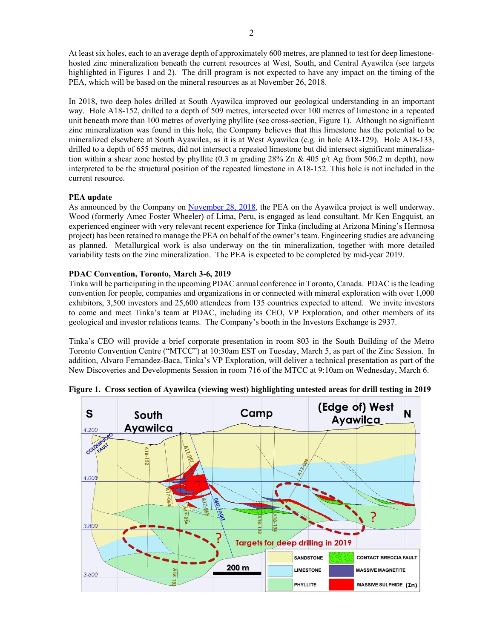At least six holes, each to an average depth of approximately 600 metres, are planned to test for deep limestonehosted zinc mineralization beneath the current resources at West, South, and Central Ayawilca (see targets highlighted in Figures 1 and 2). The drill program is not expected to have any impact on the timing of the PEA, which will be based on the mineral resources as at November 26, 2018.

In 2018, two deep holes drilled at South Ayawilca improved our geological understanding in an important way. Hole A18-152, drilled to a depth of 509 metres, intersected over 100 metres of limestone in a repeated unit beneath more than 100 metres of overlying phyllite (see cross-section, Figure 1). Although no significant zinc mineralization was found in this hole, the Company believes that this limestone has the potential to be mineralized elsewhere at South Ayawilca, as it is at West Ayawilca (e.g. in hole A18-129). Hole A18-133, drilled to a depth of 655 metres, did not intersect a repeated limestone but did intersect significant mineralization within a shear zone hosted by phyllite (0.3 m grading  $28\%$  Zn & 405 g/t Ag from 506.2 m depth), now interpreted to be the structural position of the repeated limestone in A18-152. This hole is not included in the current resource.

#### **PEA update**

As announced by the Company on November 28, 2018, the PEA on the Ayawilca project is well underway. Wood (formerly Amec Foster Wheeler) of Lima, Peru, is engaged as lead consultant. Mr Ken Engquist, an experienced engineer with very relevant recent experience for Tinka (including at Arizona Mining's Hermosa project) has been retained to manage the PEA on behalf of the owner's team. Engineering studies are advancing as planned. Metallurgical work is also underway on the tin mineralization, together with more detailed variability tests on the zinc mineralization. The PEA is expected to be completed by mid-year 2019.

#### **PDAC Convention, Toronto, March 3-6, 2019**

Tinka will be participating in the upcoming PDAC annual conference in Toronto, Canada. PDAC is the leading convention for people, companies and organizations in or connected with mineral exploration with over 1,000 exhibitors, 3,500 investors and 25,600 attendees from 135 countries expected to attend. We invite investors to come and meet Tinka's team at PDAC, including its CEO, VP Exploration, and other members of its geological and investor relations teams. The Company's booth in the Investors Exchange is 2937.

Tinka's CEO will provide a brief corporate presentation in room 803 in the South Building of the Metro Toronto Convention Centre ("MTCC") at 10:30am EST on Tuesday, March 5, as part of the Zinc Session. In addition, Alvaro Fernandez-Baca, Tinka's VP Exploration, will deliver a technical presentation as part of the New Discoveries and Developments Session in room 716 of the MTCC at 9:10am on Wednesday, March 6.



**Figure 1. Cross section of Ayawilca (viewing west) highlighting untested areas for drill testing in 2019**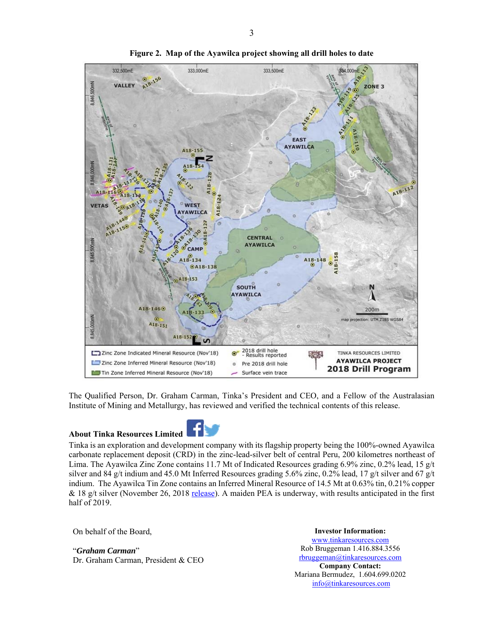

**Figure 2. Map of the Ayawilca project showing all drill holes to date** 

The Qualified Person, Dr. Graham Carman, Tinka's President and CEO, and a Fellow of the Australasian Institute of Mining and Metallurgy, has reviewed and verified the technical contents of this release.

#### **About Tinka Resources Limited**



Tinka is an exploration and development company with its flagship property being the 100%-owned Ayawilca carbonate replacement deposit (CRD) in the zinc-lead-silver belt of central Peru, 200 kilometres northeast of Lima. The Ayawilca Zinc Zone contains 11.7 Mt of Indicated Resources grading 6.9% zinc, 0.2% lead, 15 g/t silver and 84 g/t indium and 45.0 Mt Inferred Resources grading 5.6% zinc, 0.2% lead, 17 g/t silver and 67 g/t indium. The Ayawilca Tin Zone contains an Inferred Mineral Resource of 14.5 Mt at 0.63% tin, 0.21% copper & 18 g/t silver (November 26, 2018 release). A maiden PEA is underway, with results anticipated in the first half of 2019.

On behalf of the Board,

## "*Graham Carman*"

Dr. Graham Carman, President & CEO

**Investor Information:**  www.tinkaresources.com Rob Bruggeman 1.416.884.3556 rbruggeman@tinkaresources.com **Company Contact:** Mariana Bermudez, 1.604.699.0202 info@tinkaresources.com